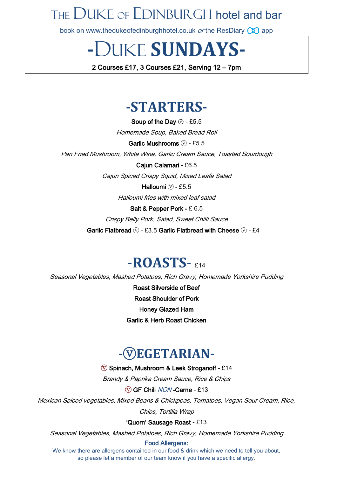# THE DUKE OF EDINBURGH hotel and bar

book on [www.thedukeofedinburghhotel.co.](http://www.thedukeofedinburghhotel.co/)uk or the ResDiary  $\circled{1}$  app

**-**DUKE **SUNDAYS-**

2 Courses £17, 3 Courses £21, Serving 12 – 7pm

## **-STARTERS-**

Soup of the Day  $\circledcirc$  - £5.5 Homemade Soup, Baked Bread Roll

Garlic Mushrooms  $\widehat{V}$  - £5.5

Pan Fried Mushroom, White Wine, Garlic Cream Sauce, Toasted Sourdough

Cajun Calamari - £6.5

Cajun Spiced Crispy Squid, Mixed Leafe Salad

Halloumi  $\circled{v}$  - £5.5

Halloumi fries with mixed leaf salad

Salt & Pepper Pork - £ 6.5

Crispy Belly Pork, Salad, Sweet Chilli Sauce

Garlic Flatbread  $\overline{v}$  - £3.5 Garlic Flatbread with Cheese  $\overline{v}$  - £4

### **-ROASTS-**  $614$

Seasonal Vegetables, Mashed Potatoes, Rich Gravy, Homemade Yorkshire Pudding

Roast Silverside of Beef Roast Shoulder of Pork Honey Glazed Ham Garlic & Herb Roast Chicken

## **-**ⓥ**EGETARIAN-**

ⓥ Spinach, Mushroom & Leek Stroganoff - £14

Brandy & Paprika Cream Sauce, Rice & Chips

ⓥ GF Chili NON -Carne - £13

Mexican Spiced vegetables, Mixed Beans & Chickpeas, Tomatoes, Vegan Sour Cream, Rice, Chips, Tortilla Wrap

'Quorn' Sausage Roast - £13

Seasonal Vegetables, Mashed Potatoes, Rich Gravy, Homemade Yorkshire Pudding

#### Food Allergens:

We know there are allergens contained in our food & drink which we need to tell you about, so please let a member of our team know if you have a specific allergy.